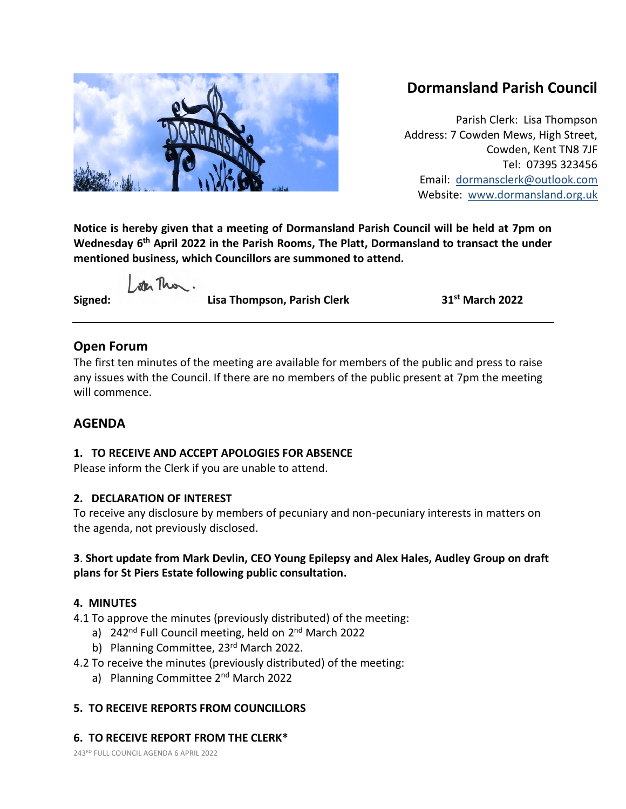

# **Dormansland Parish Council**

Parish Clerk: Lisa Thompson Address: 7 Cowden Mews, High Street, Cowden, Kent TN8 7JF Tel: 07395 323456 Email: [dormansclerk@outlook.com](mailto:dormansclerk@outlook.com) Website: [www.dormansland.org.uk](http://www.dormansland.org.uk/)

**Notice is hereby given that a meeting of Dormansland Parish Council will be held at 7pm on Wednesday 6 th April 2022 in the Parish Rooms, The Platt, Dormansland to transact the under mentioned business, which Councillors are summoned to attend.**

ster This.

**Signed: Lisa Thompson, Parish Clerk 31st March 2022**

# **Open Forum**

The first ten minutes of the meeting are available for members of the public and press to raise any issues with the Council. If there are no members of the public present at 7pm the meeting will commence.

# **AGENDA**

# **1. TO RECEIVE AND ACCEPT APOLOGIES FOR ABSENCE**

Please inform the Clerk if you are unable to attend.

# **2. DECLARATION OF INTEREST**

To receive any disclosure by members of pecuniary and non-pecuniary interests in matters on the agenda, not previously disclosed.

## **3**. **Short update from Mark Devlin, CEO Young Epilepsy and Alex Hales, Audley Group on draft plans for St Piers Estate following public consultation.**

# **4. MINUTES**

4.1 To approve the minutes (previously distributed) of the meeting:

- a) 242<sup>nd</sup> Full Council meeting, held on 2<sup>nd</sup> March 2022
- b) Planning Committee, 23rd March 2022.
- 4.2 To receive the minutes (previously distributed) of the meeting:
	- a) Planning Committee 2<sup>nd</sup> March 2022

# **5. TO RECEIVE REPORTS FROM COUNCILLORS**

# **6. TO RECEIVE REPORT FROM THE CLERK\***

243 RD FULL COUNCIL AGENDA 6 APRIL 2022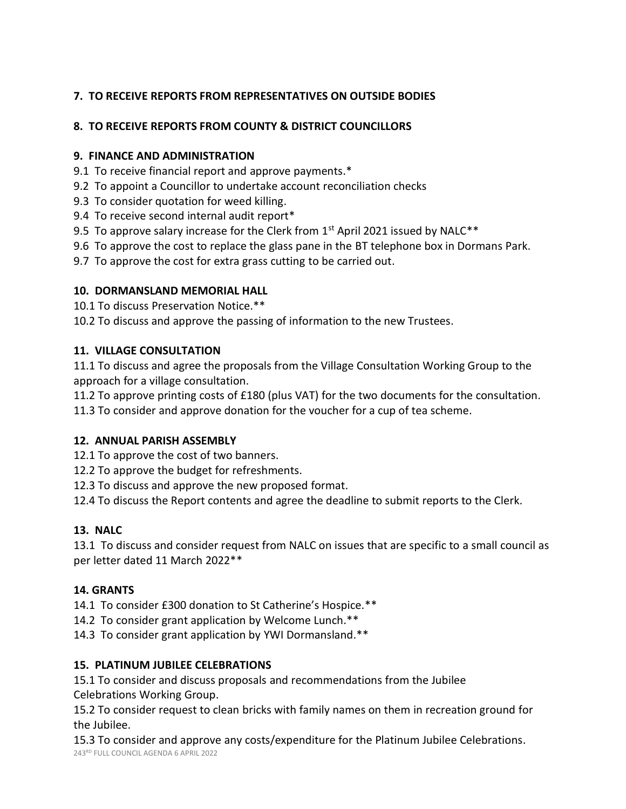# **7. TO RECEIVE REPORTS FROM REPRESENTATIVES ON OUTSIDE BODIES**

# **8. TO RECEIVE REPORTS FROM COUNTY & DISTRICT COUNCILLORS**

## **9. FINANCE AND ADMINISTRATION**

- 9.1 To receive financial report and approve payments.\*
- 9.2 To appoint a Councillor to undertake account reconciliation checks
- 9.3 To consider quotation for weed killing.
- 9.4 To receive second internal audit report\*
- 9.5 To approve salary increase for the Clerk from  $1<sup>st</sup>$  April 2021 issued by NALC\*\*
- 9.6 To approve the cost to replace the glass pane in the BT telephone box in Dormans Park.
- 9.7 To approve the cost for extra grass cutting to be carried out.

## **10. DORMANSLAND MEMORIAL HALL**

10.1 To discuss Preservation Notice.\*\*

10.2 To discuss and approve the passing of information to the new Trustees.

## **11. VILLAGE CONSULTATION**

11.1 To discuss and agree the proposals from the Village Consultation Working Group to the approach for a village consultation.

11.2 To approve printing costs of £180 (plus VAT) for the two documents for the consultation.

11.3 To consider and approve donation for the voucher for a cup of tea scheme.

## **12. ANNUAL PARISH ASSEMBLY**

- 12.1 To approve the cost of two banners.
- 12.2 To approve the budget for refreshments.
- 12.3 To discuss and approve the new proposed format.

12.4 To discuss the Report contents and agree the deadline to submit reports to the Clerk.

# **13. NALC**

13.1 To discuss and consider request from NALC on issues that are specific to a small council as per letter dated 11 March 2022\*\*

# **14. GRANTS**

14.1 To consider £300 donation to St Catherine's Hospice.\*\*

14.2 To consider grant application by Welcome Lunch.\*\*

14.3 To consider grant application by YWI Dormansland.\*\*

# **15. PLATINUM JUBILEE CELEBRATIONS**

15.1 To consider and discuss proposals and recommendations from the Jubilee Celebrations Working Group.

15.2 To consider request to clean bricks with family names on them in recreation ground for the Jubilee.

243 RD FULL COUNCIL AGENDA 6 APRIL 2022 15.3 To consider and approve any costs/expenditure for the Platinum Jubilee Celebrations.